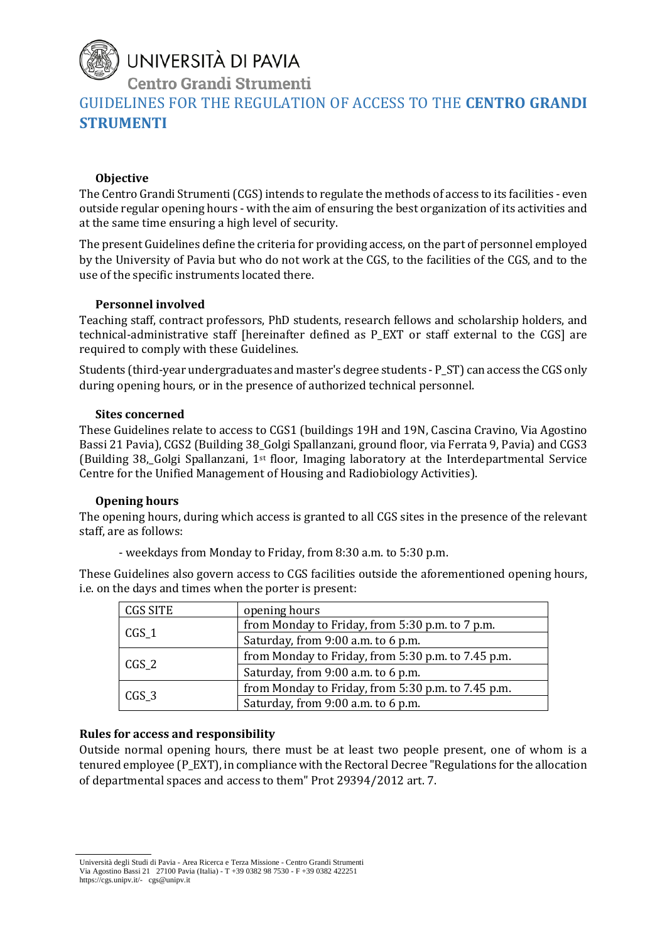# UNIVERSITÀ DI PAVIA

Centro Grandi Strumenti

GUIDELINES FOR THE REGULATION OF ACCESS TO THE **CENTRO GRANDI STRUMENTI**

### **Objective**

The Centro Grandi Strumenti (CGS) intends to regulate the methods of access to its facilities - even outside regular opening hours - with the aim of ensuring the best organization of its activities and at the same time ensuring a high level of security.

The present Guidelines define the criteria for providing access, on the part of personnel employed by the University of Pavia but who do not work at the CGS, to the facilities of the CGS, and to the use of the specific instruments located there.

### **Personnel involved**

Teaching staff, contract professors, PhD students, research fellows and scholarship holders, and technical-administrative staff [hereinafter defined as P\_EXT or staff external to the CGS] are required to comply with these Guidelines.

Students (third-year undergraduates and master's degree students - P\_ST) can access the CGS only during opening hours, or in the presence of authorized technical personnel.

#### **Sites concerned**

These Guidelines relate to access to CGS1 (buildings 19H and 19N, Cascina Cravino, Via Agostino Bassi 21 Pavia), CGS2 (Building 38\_Golgi Spallanzani, ground floor, via Ferrata 9, Pavia) and CGS3 (Building 38,\_Golgi Spallanzani, 1st floor, Imaging laboratory at the Interdepartmental Service Centre for the Unified Management of Housing and Radiobiology Activities).

# **Opening hours**

The opening hours, during which access is granted to all CGS sites in the presence of the relevant staff, are as follows:

- weekdays from Monday to Friday, from 8:30 a.m. to 5:30 p.m.

These Guidelines also govern access to CGS facilities outside the aforementioned opening hours, i.e. on the days and times when the porter is present:

| <b>CGS SITE</b> | opening hours                                      |
|-----------------|----------------------------------------------------|
| $CGS_1$         | from Monday to Friday, from 5:30 p.m. to 7 p.m.    |
|                 | Saturday, from 9:00 a.m. to 6 p.m.                 |
| $CGS_2$         | from Monday to Friday, from 5:30 p.m. to 7.45 p.m. |
|                 | Saturday, from 9:00 a.m. to 6 p.m.                 |
| $CGS_3$         | from Monday to Friday, from 5:30 p.m. to 7.45 p.m. |
|                 | Saturday, from 9:00 a.m. to 6 p.m.                 |

# **Rules for access and responsibility**

Outside normal opening hours, there must be at least two people present, one of whom is a tenured employee (P\_EXT), in compliance with the Rectoral Decree "Regulations for the allocation of departmental spaces and access to them" Prot 29394/2012 art. 7.

Università degli Studi di Pavia - Area Ricerca e Terza Missione - Centro Grandi Strumenti Via Agostino Bassi 21 27100 Pavia (Italia) - T +39 0382 98 7530 - F +39 0382 422251 https://cgs.unipv.it/- cgs@unipv.it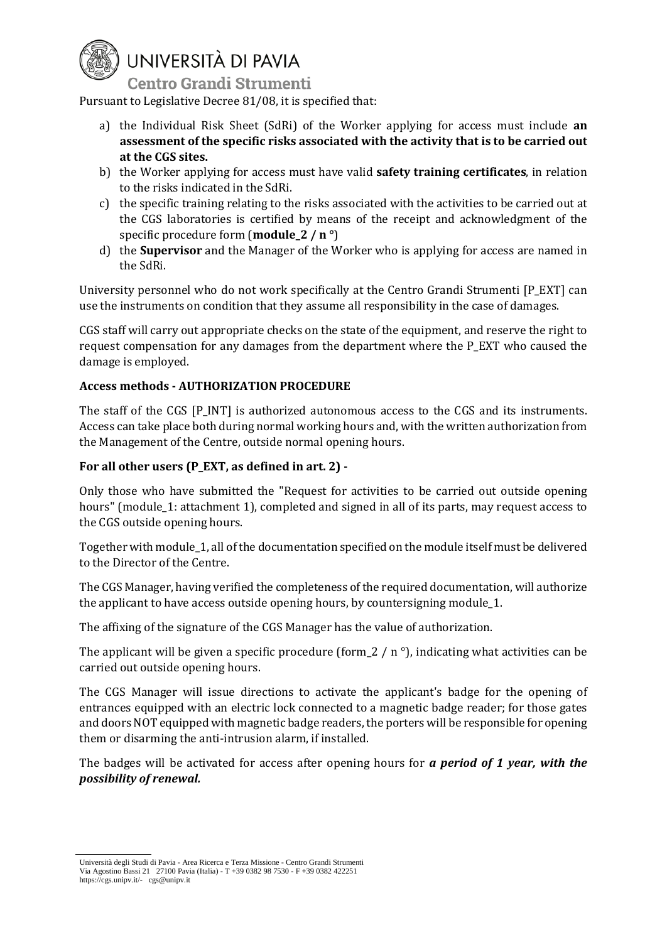

# UNIVERSITÀ DI PAVIA

**Centro Grandi Strumenti** 

Pursuant to Legislative Decree 81/08, it is specified that:

- a) the Individual Risk Sheet (SdRi) of the Worker applying for access must include **an assessment of the specific risks associated with the activity that is to be carried out at the CGS sites.**
- b) the Worker applying for access must have valid **safety training certificates**, in relation to the risks indicated in the SdRi.
- c) the specific training relating to the risks associated with the activities to be carried out at the CGS laboratories is certified by means of the receipt and acknowledgment of the specific procedure form (**module\_2 / n °**)
- d) the **Supervisor** and the Manager of the Worker who is applying for access are named in the SdRi.

University personnel who do not work specifically at the Centro Grandi Strumenti [P\_EXT] can use the instruments on condition that they assume all responsibility in the case of damages.

CGS staff will carry out appropriate checks on the state of the equipment, and reserve the right to request compensation for any damages from the department where the P\_EXT who caused the damage is employed.

#### **Access methods - AUTHORIZATION PROCEDURE**

The staff of the CGS [P\_INT] is authorized autonomous access to the CGS and its instruments. Access can take place both during normal working hours and, with the written authorization from the Management of the Centre, outside normal opening hours.

#### **For all other users (P\_EXT, as defined in art. 2) -**

Only those who have submitted the "Request for activities to be carried out outside opening hours" (module\_1: attachment 1), completed and signed in all of its parts, may request access to the CGS outside opening hours.

Together with module\_1, all of the documentation specified on the module itself must be delivered to the Director of the Centre.

The CGS Manager, having verified the completeness of the required documentation, will authorize the applicant to have access outside opening hours, by countersigning module\_1.

The affixing of the signature of the CGS Manager has the value of authorization.

The applicant will be given a specific procedure (form  $2 / n$ <sup>o</sup>), indicating what activities can be carried out outside opening hours.

The CGS Manager will issue directions to activate the applicant's badge for the opening of entrances equipped with an electric lock connected to a magnetic badge reader; for those gates and doors NOT equipped with magnetic badge readers, the porters will be responsible for opening them or disarming the anti-intrusion alarm, if installed.

The badges will be activated for access after opening hours for *a period of 1 year, with the possibility of renewal.*

Università degli Studi di Pavia - Area Ricerca e Terza Missione - Centro Grandi Strumenti Via Agostino Bassi 21 27100 Pavia (Italia) - T +39 0382 98 7530 - F +39 0382 422251 https://cgs.unipv.it/- cgs@unipv.it